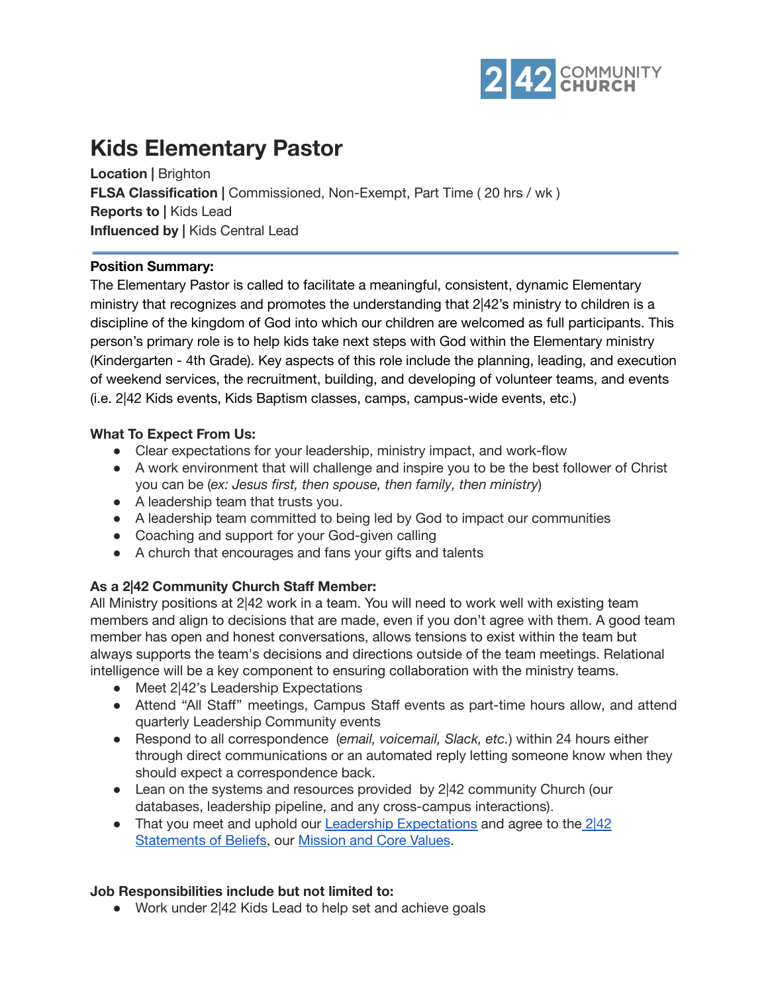

# **Kids Elementary Pastor**

**Location |** Brighton **FLSA Classification |** Commissioned, Non-Exempt, Part Time ( 20 hrs / wk ) **Reports to |** Kids Lead **Influenced by |** Kids Central Lead

#### **Position Summary:**

The Elementary Pastor is called to facilitate a meaningful, consistent, dynamic Elementary ministry that recognizes and promotes the understanding that 2|42's ministry to children is a discipline of the kingdom of God into which our children are welcomed as full participants. This person's primary role is to help kids take next steps with God within the Elementary ministry (Kindergarten - 4th Grade). Key aspects of this role include the planning, leading, and execution of weekend services, the recruitment, building, and developing of volunteer teams, and events (i.e. 2|42 Kids events, Kids Baptism classes, camps, campus-wide events, etc.)

### **What To Expect From Us:**

- Clear expectations for your leadership, ministry impact, and work-flow
- A work environment that will challenge and inspire you to be the best follower of Christ you can be (*ex: Jesus first, then spouse, then family, then ministry*)
- A leadership team that trusts you.
- A leadership team committed to being led by God to impact our communities
- Coaching and support for your God-given calling
- A church that encourages and fans your gifts and talents

# **As a 2|42 Community Church Staff Member:**

All Ministry positions at 2|42 work in a team. You will need to work well with existing team members and align to decisions that are made, even if you don't agree with them. A good team member has open and honest conversations, allows tensions to exist within the team but always supports the team's decisions and directions outside of the team meetings. Relational intelligence will be a key component to ensuring collaboration with the ministry teams.

- Meet 2<sup>|</sup>42's Leadership Expectations
- Attend "All Staff" meetings, Campus Staff events as part-time hours allow, and attend quarterly Leadership Community events
- Respond to all correspondence (*email, voicemail, Slack, etc.*) within 24 hours either through direct communications or an automated reply letting someone know when they should expect a correspondence back.
- Lean on the systems and resources provided by 2|42 community Church (our databases, leadership pipeline, and any cross-campus interactions).
- That you meet and uphold our Leadership [Expectations](https://drive.google.com/file/d/1AOYgGXCtRLiSlJ-Jocqw8eOKRMzWzQXn/view?usp=sharing) and agree to the  $2|42|$  $2|42|$ [Statements](https://242community.com/our-beliefs/) of Beliefs, our [Mission](https://drive.google.com/file/d/1HgfHE2-2NG907aj067fpmwKw-jyMIgn5/view?usp=sharing) and Core Values.

#### **Job Responsibilities include but not limited to:**

● Work under 2|42 Kids Lead to help set and achieve goals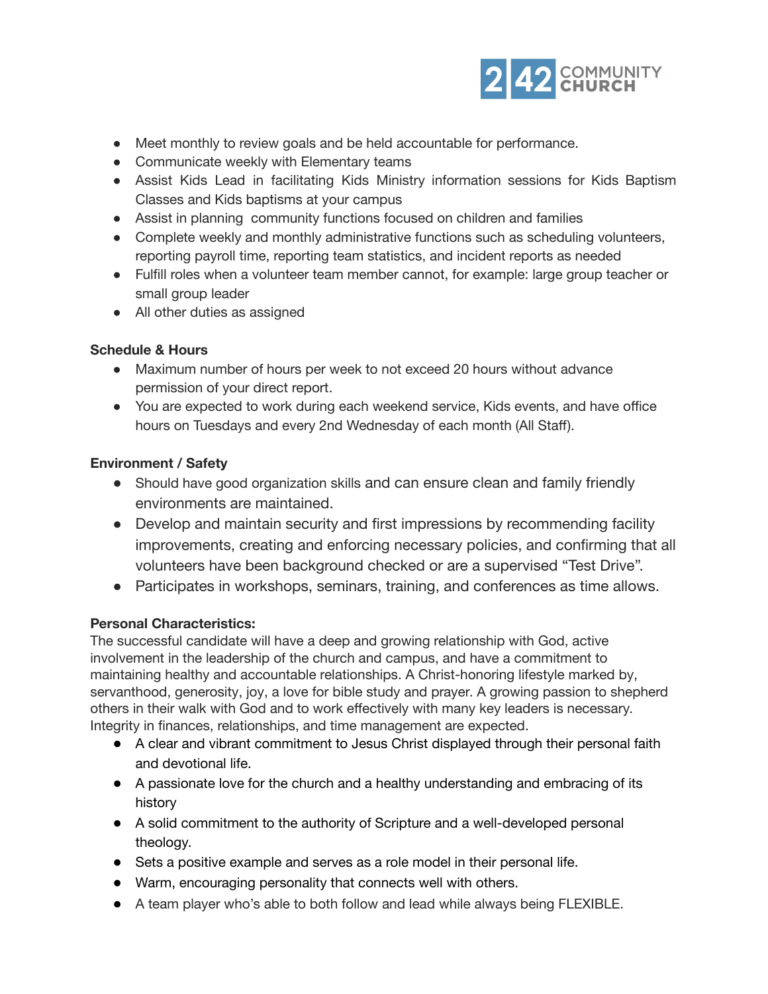

- Meet monthly to review goals and be held accountable for performance.
- Communicate weekly with Elementary teams
- Assist Kids Lead in facilitating Kids Ministry information sessions for Kids Baptism Classes and Kids baptisms at your campus
- Assist in planning community functions focused on children and families
- Complete weekly and monthly administrative functions such as scheduling volunteers, reporting payroll time, reporting team statistics, and incident reports as needed
- Fulfill roles when a volunteer team member cannot, for example: large group teacher or small group leader
- All other duties as assigned

# **Schedule & Hours**

- Maximum number of hours per week to not exceed 20 hours without advance permission of your direct report.
- You are expected to work during each weekend service, Kids events, and have office hours on Tuesdays and every 2nd Wednesday of each month (All Staff).

### **Environment / Safety**

- Should have good organization skills and can ensure clean and family friendly environments are maintained.
- Develop and maintain security and first impressions by recommending facility improvements, creating and enforcing necessary policies, and confirming that all volunteers have been background checked or are a supervised "Test Drive".
- Participates in workshops, seminars, training, and conferences as time allows.

# **Personal Characteristics:**

The successful candidate will have a deep and growing relationship with God, active involvement in the leadership of the church and campus, and have a commitment to maintaining healthy and accountable relationships. A Christ-honoring lifestyle marked by, servanthood, generosity, joy, a love for bible study and prayer. A growing passion to shepherd others in their walk with God and to work effectively with many key leaders is necessary. Integrity in finances, relationships, and time management are expected.

- A clear and vibrant commitment to Jesus Christ displayed through their personal faith and devotional life.
- A passionate love for the church and a healthy understanding and embracing of its history
- A solid commitment to the authority of Scripture and a well-developed personal theology.
- Sets a positive example and serves as a role model in their personal life.
- Warm, encouraging personality that connects well with others.
- A team player who's able to both follow and lead while always being FLEXIBLE.